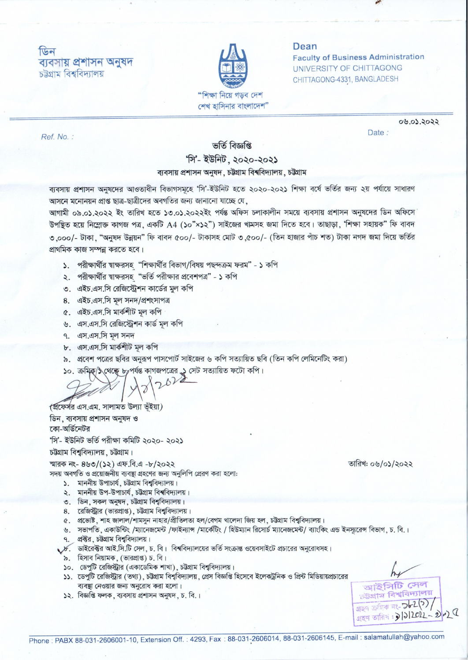## फिन ব্যবসায় প্ৰশাসন অনুষদ চট্টগ্ৰাম বিশ্ববিদ্যালয়



#### Dean

**Faculty of Business Administration UNIVERSITY OF CHITTAGONG** CHITTAGONG-4331, BANGLADESH

Date:

Ref. No.:

# ভৰ্তি বিজ্ঞপ্তি

०७.०১.२०२२

# 'সি'- ইউনিট, ২০২০-২০২১

### ব্যবসায় প্রশাসন অনুষদ, চউগ্রাম বিশ্ববিদ্যালয়, চউগ্রাম

ব্যবসায় প্রশাসন অনুষদের আওতাধীন বিভাগসমূহে 'সি'-ইউনিট হতে ২০২০-২০২১ শিক্ষা বর্ষে ভর্তির জন্য ২য় পর্যায়ে সাধারণ আসনে মনোনয়ন প্রাপ্ত ছাত্র-ছাত্রীদের অবগতির জন্য জানানো যাচ্ছে যে,

আগামী ০৯.০১.২০২২ ইং তারিখ হতে ১৩.০১.২০২২ইং পর্যন্ত অফিস চলাকালীন সময়ে ব্যবসায় প্রশাসন অনুষদের ডিন অফিসে উপন্থিত হয়ে নিম্লোক্ত কাগজ পত্র, একটি A4 (১০"×১২") সাইজের খামসহ জমা দিতে হবে। তাছাড়া, 'শিক্ষা সহায়ক" ফি বাবদ ৩.০০০/- টাকা, "অনুষদ উন্নয়ন" ফি বাবদ ৫০০/- টাকাসহ মোট ৩.৫০০/- (তিন হাজার পাঁচ শত) টাকা নগদ জমা দিয়ে ভর্তির প্রাথমিক কাজ সম্পন্ন করতে হবে।

- ১. পরীক্ষার্থীর শ্বাক্ষরসহ "শিক্ষার্থীর বিভাগ/বিষয় পছন্দক্রম ফরম" ১ কপি
- ২. পরীক্ষার্থীর স্বাক্ষরসহ "ভর্তি পরীক্ষার প্রবেশপত্র" ১ কপি
- ৩ এইচ এস সি রেজিস্টেশন কার্ডের মল কপি
- 8. এইচ.এস.সি মল সনদ/প্ৰশংসাপত্ৰ
- ৫. এইচ.এস.সি মার্কশীট মল কপি
- ৬. এস.এস.সি রেজিস্ট্রেশন কার্ড মল কপি
- ৭. এস.এস.সি মূল সনদ
- ৮. এস.এস.সি মার্কশীট মল কপি
- ৯. প্রবেশ পত্রের ছবির অনুরূপ পাসপোর্ট সাইজের ৬ কপি সত্যায়িত ছবি (তিন কপি লেমিনেটিং করা)

১০. ক্ৰমিক্/১ থেক্ষে ৮ পৰ্যন্ত কাগজপত্ৰের ১ সেট সত্যায়িত ফটো কপি।

pVe

(প্রফের্সর এস.এম. সালামত উল্যা ভূঁইয়া) ডিন, ব্যবসায় প্রশাসন অনুষদ ও কো-অর্ডিনেটর 'সি'- ইউনিট ভৰ্তি পরীক্ষা কমিটি ২০২০- ২০২১

### চউগ্রাম বিশুবিদ্যালয়, চউগ্রাম।

স্মারক নং- ৪৬৩/(১২) এফ.বি.এ -৮/২০২২

সদয় অবগতি ও প্রয়োজনীয় ব্যবষ্ঠা গ্রহণের জন্য অনলিপি প্রেরণ করা হলো:

- ১. মাননীয় উপাচার্য, চউগ্রাম বিশ্ববিদ্যালয়।
- ২. মাননীয় উপ-উপাচার্য, চউগ্রাম বিশ্ববিদ্যালয়।
- ৩. ডিন, সকল অনুষদ, চউগ্রাম বিশ্ববিদ্যালয়।
- 8. রেজিস্ট্রার (ভারপ্রাপ্ত), চউগ্রাম বিশ্ববিদ্যালয়।
- ৫. প্রভোষ্ট, শাহ জালাল/শামসুন নাহার/প্রীতিলতা হল/বেগম খালেদা জিয় হল, চট্টগ্রাম বিশ্ববিদ্যালয়।
- ৬. সভাপতি, একাউন্টিং /ম্যানেজমেন্ট /ফাইন্যান্স /মার্কেটিং / হিউম্যান রিসোর্চ ম্যানেজমেন্ট/ ব্যাংকিং এন্ড ইনস্যরেন্স বিভাগ, চ. বি.। ৭. প্রক্টর, চউগ্রাম বিশ্ববিদ্যালয়।
- $\varkappa$ ় ডাইরেক্টর আই.সি.টি সেল, চ. বি। বিশ্ববিদ্যালয়ের ভর্তি সংক্রান্ত ওয়েবসাইটে প্রচারের অনুরোধসহ।
- ৯. হিসাব নিয়ামক, (ভারপ্রাপ্ত) চ. বি।
- ১০. ডেপুটি রেজিস্ট্রার (একাডেমিক শাখা), চউগ্রাম বিশ্ববিদ্যালয়।
- ১১. ডেপুটি রেজিস্ট্রার (তথ্য), চট্টগ্রাম বিশ্ববিদ্যালয়, প্রেস বিজ্ঞপ্তি হিসেবে ইলেকট্রনিক ও প্রিন্ট মিডিয়ায়প্রচারের ব্যবস্থা নেওয়ার জন্য অনুরোধ করা হলো।
- ১২. বিজ্ঞপ্তি ফলক, ব্যবসায় প্রশাসন অনুষদ, চ. বি.।

তারিখ: ০৬/০১/২০২২

আইসিটি সেল চউগ্ৰাম বিশ্ববিদ্যালয় apq ক্ৰমিক নং- 262(?)  $2201 - 2 - 1$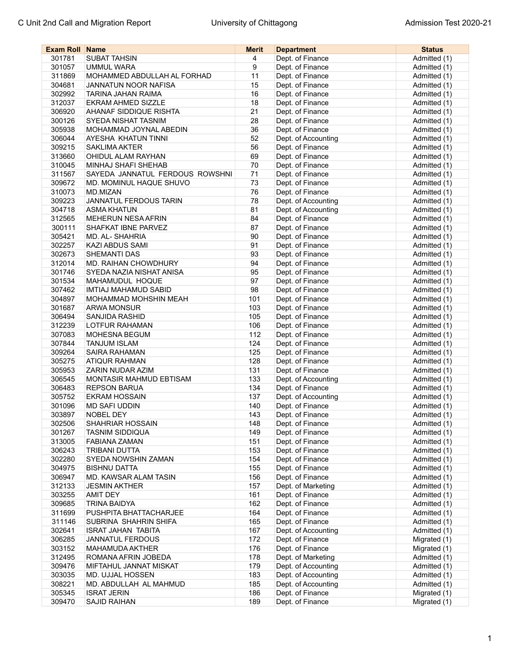| <b>Exam Roll Name</b> |                                 | <b>Merit</b> | <b>Department</b>   | <b>Status</b>                |
|-----------------------|---------------------------------|--------------|---------------------|------------------------------|
| 301781                | <b>SUBAT TAHSIN</b>             | 4            | Dept. of Finance    | Admitted (1)                 |
| 301057                | <b>UMMUL WARA</b>               | 9            | Dept. of Finance    | Admitted (1)                 |
| 311869                | MOHAMMED ABDULLAH AL FORHAD     | 11           | Dept. of Finance    | Admitted (1)                 |
| 304681                | JANNATUN NOOR NAFISA            | 15           | Dept. of Finance    | Admitted (1)                 |
| 302992                | TARINA JAHAN RAIMA              | 16           | Dept. of Finance    | Admitted (1)                 |
| 312037                | EKRAM AHMED SIZZLE              | 18           | Dept. of Finance    | Admitted (1)                 |
| 306920                | AHANAF SIDDIQUE RISHTA          | 21           | Dept. of Finance    | Admitted (1)                 |
| 300126                | SYEDA NISHAT TASNIM             | 28           | Dept. of Finance    | Admitted (1)                 |
| 305938                | MOHAMMAD JOYNAL ABEDIN          | 36           | Dept. of Finance    | Admitted (1)                 |
| 306044                | AYESHA KHATUN TINNI             | 52           | Dept. of Accounting | Admitted (1)                 |
| 309215                | <b>SAKLIMA AKTER</b>            | 56           | Dept. of Finance    | Admitted (1)                 |
| 313660                | OHIDUL ALAM RAYHAN              | 69           | Dept. of Finance    | Admitted (1)                 |
| 310045                | <b>MINHAJ SHAFI SHEHAB</b>      | 70           | Dept. of Finance    | Admitted (1)                 |
| 311567                | SAYEDA JANNATUL FERDOUS ROWSHNI | 71           | Dept. of Finance    | Admitted (1)                 |
| 309672                | MD. MOMINUL HAQUE SHUVO         | 73           | Dept. of Finance    | Admitted (1)                 |
| 310073                | MD.MIZAN                        | 76           | Dept. of Finance    | Admitted (1)                 |
| 309223                | <b>JANNATUL FERDOUS TARIN</b>   | 78           | Dept. of Accounting | Admitted (1)                 |
| 304718                | <b>ASMA KHATUN</b>              | 81           | Dept. of Accounting | Admitted (1)                 |
| 312565                | <b>MEHERUN NESA AFRIN</b>       | 84           | Dept. of Finance    | Admitted (1)                 |
| 300111                | SHAFKAT IBNE PARVEZ             | 87           | Dept. of Finance    | Admitted (1)                 |
| 305421                | MD. AL-SHAHRIA                  | 90           | Dept. of Finance    | Admitted (1)                 |
| 302257                | <b>KAZI ABDUS SAMI</b>          | 91           | Dept. of Finance    | Admitted (1)                 |
| 302673                | SHEMANTI DAS                    | 93           | Dept. of Finance    | Admitted (1)                 |
| 312014                | <b>MD. RAIHAN CHOWDHURY</b>     | 94           | Dept. of Finance    | Admitted (1)                 |
| 301746                | SYEDA NAZIA NISHAT ANISA        | 95           | Dept. of Finance    | Admitted (1)                 |
| 301534                | MAHAMUDUL HOQUE                 | 97           | Dept. of Finance    | Admitted (1)                 |
| 307462                | <b>IMTIAJ MAHAMUD SABID</b>     | 98           | Dept. of Finance    | Admitted (1)                 |
| 304897                | <b>MOHAMMAD MOHSHIN MEAH</b>    | 101          | Dept. of Finance    | Admitted (1)                 |
| 301687                | <b>ARWA MONSUR</b>              | 103          | Dept. of Finance    | Admitted (1)                 |
| 306494                | <b>SANJIDA RASHID</b>           | 105          | Dept. of Finance    | Admitted (1)                 |
| 312239                | LOTFUR RAHAMAN                  | 106          | Dept. of Finance    | Admitted (1)                 |
| 307083                | <b>MOHESNA BEGUM</b>            | 112          | Dept. of Finance    | Admitted (1)                 |
| 307844                | <b>TANJUM ISLAM</b>             | 124          | Dept. of Finance    | Admitted (1)                 |
| 309264                | <b>SAIRA RAHAMAN</b>            | 125          | Dept. of Finance    | Admitted (1)                 |
| 305275                | <b>ATIQUR RAHMAN</b>            | 128          | Dept. of Finance    |                              |
| 305953                | ZARIN NUDAR AZIM                | 131          | Dept. of Finance    | Admitted (1)<br>Admitted (1) |
| 306545                | MONTASIR MAHMUD EBTISAM         | 133          | Dept. of Accounting | Admitted (1)                 |
| 306483                | <b>REPSON BARUA</b>             | 134          | Dept. of Finance    | Admitted (1)                 |
| 305752                | <b>EKRAM HOSSAIN</b>            | 137          | Dept. of Accounting | Admitted (1)                 |
| 301096                | <b>MD SAFI UDDIN</b>            | 140          | Dept. of Finance    | Admitted (1)                 |
| 303897                | <b>NOBEL DEY</b>                | 143          | Dept. of Finance    | Admitted (1)                 |
| 302506                | SHAHRIAR HOSSAIN                | 148          | Dept. of Finance    | Admitted (1)                 |
| 301267                | <b>TASNIM SIDDIQUA</b>          | 149          | Dept. of Finance    | Admitted (1)                 |
| 313005                | <b>FABIANA ZAMAN</b>            | 151          | Dept. of Finance    | Admitted (1)                 |
| 306243                | <b>TRIBANI DUTTA</b>            | 153          | Dept. of Finance    | Admitted (1)                 |
| 302280                | SYEDA NOWSHIN ZAMAN             | 154          | Dept. of Finance    | Admitted (1)                 |
| 304975                | <b>BISHNU DATTA</b>             | 155          | Dept. of Finance    | Admitted (1)                 |
| 306947                | MD. KAWSAR ALAM TASIN           | 156          | Dept. of Finance    | Admitted (1)                 |
| 312133                | <b>JESMIN AKTHER</b>            | 157          | Dept. of Marketing  | Admitted (1)                 |
| 303255                | <b>AMIT DEY</b>                 | 161          | Dept. of Finance    | Admitted (1)                 |
| 309685                | <b>TRINA BAIDYA</b>             | 162          | Dept. of Finance    | Admitted (1)                 |
|                       | PUSHPITA BHATTACHARJEE          | 164          | Dept. of Finance    | Admitted (1)                 |
| 311699<br>311146      | SUBRINA SHAHRIN SHIFA           | 165          | Dept. of Finance    |                              |
|                       |                                 | 167          |                     | Admitted (1)<br>Admitted (1) |
| 302641<br>306285      | <b>ISRAT JAHAN TABITA</b>       | 172          | Dept. of Accounting | Migrated (1)                 |
|                       | <b>JANNATUL FERDOUS</b>         | 176          | Dept. of Finance    |                              |
| 303152                | MAHAMUDA AKTHER                 | 178          | Dept. of Finance    | Migrated (1)<br>Admitted (1) |
| 312495                | ROMANA AFRIN JOBEDA             |              | Dept. of Marketing  | Admitted (1)                 |
| 309476                | MIFTAHUL JANNAT MISKAT          | 179          | Dept. of Accounting |                              |
| 303035                | <b>MD. UJJAL HOSSEN</b>         | 183          | Dept. of Accounting | Admitted (1)                 |
| 308221                | MD. ABDULLAH AL MAHMUD          | 185          | Dept. of Accounting | Admitted (1)                 |
| 305345                | <b>ISRAT JERIN</b>              | 186          | Dept. of Finance    | Migrated (1)                 |
| 309470                | SAJID RAIHAN                    | 189          | Dept. of Finance    | Migrated (1)                 |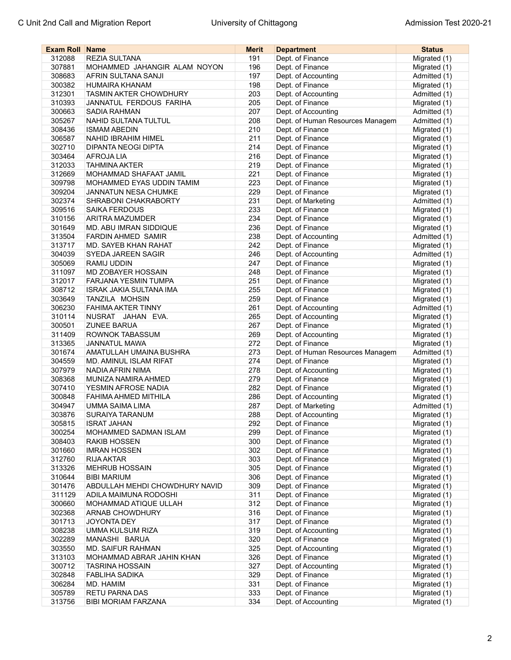| <b>Exam Roll Name</b> |                                | <b>Merit</b> | <b>Department</b>                | <b>Status</b> |
|-----------------------|--------------------------------|--------------|----------------------------------|---------------|
| 312088                | <b>REZIA SULTANA</b>           | 191          | Dept. of Finance                 | Migrated (1)  |
| 307881                | MOHAMMED JAHANGIR ALAM NOYON   | 196          | Dept. of Finance                 | Migrated (1)  |
| 308683                | AFRIN SULTANA SANJI            | 197          | Dept. of Accounting              | Admitted (1)  |
| 300382                | HUMAIRA KHANAM                 | 198          | Dept. of Finance                 | Migrated (1)  |
| 312301                | <b>TASMIN AKTER CHOWDHURY</b>  | 203          | Dept. of Accounting              | Admitted (1)  |
| 310393                | JANNATUL FERDOUS FARIHA        | 205          | Dept. of Finance                 | Migrated (1)  |
| 300663                | <b>SADIA RAHMAN</b>            | 207          | Dept. of Accounting              | Admitted (1)  |
| 305267                | NAHID SULTANA TULTUL           | 208          | Dept. of Human Resources Managem | Admitted (1)  |
| 308436                | <b>ISMAM ABEDIN</b>            | 210          | Dept. of Finance                 | Migrated (1)  |
| 306587                | <b>NAHID IBRAHIM HIMEL</b>     | 211          | Dept. of Finance                 | Migrated (1)  |
| 302710                | <b>DIPANTA NEOGI DIPTA</b>     | 214          | Dept. of Finance                 | Migrated (1)  |
| 303464                | <b>AFROJALIA</b>               | 216          | Dept. of Finance                 | Migrated (1)  |
| 312033                | <b>TAHMINA AKTER</b>           | 219          | Dept. of Finance                 | Migrated (1)  |
| 312669                | MOHAMMAD SHAFAAT JAMIL         | 221          | Dept. of Finance                 | Migrated (1)  |
| 309798                | MOHAMMED EYAS UDDIN TAMIM      | 223          | Dept. of Finance                 | Migrated (1)  |
| 309204                | <b>JANNATUN NESA CHUMKE</b>    | 229          | Dept. of Finance                 | Migrated (1)  |
| 302374                | SHRABONI CHAKRABORTY           | 231          | Dept. of Marketing               | Admitted (1)  |
| 309516                | SAIKA FERDOUS                  | 233          | Dept. of Finance                 | Migrated (1)  |
| 310156                | <b>ARITRA MAZUMDER</b>         | 234          | Dept. of Finance                 | Migrated (1)  |
| 301649                | <b>MD. ABU IMRAN SIDDIQUE</b>  | 236          | Dept. of Finance                 | Migrated (1)  |
| 313504                | FARDIN AHMED SAMIR             | 238          | Dept. of Accounting              | Admitted (1)  |
| 313717                | MD. SAYEB KHAN RAHAT           | 242          | Dept. of Finance                 | Migrated (1)  |
| 304039                | SYEDA JAREEN SAGIR             | 246          | Dept. of Accounting              | Admitted (1)  |
| 305069                | RAMIJ UDDIN                    | 247          | Dept. of Finance                 | Migrated (1)  |
| 311097                | MD ZOBAYER HOSSAIN             | 248          | Dept. of Finance                 | Migrated (1)  |
| 312017                | FARJANA YESMIN TUMPA           | 251          | Dept. of Finance                 | Migrated (1)  |
| 308712                | <b>ISRAK JAKIA SULTANA IMA</b> | 255          | Dept. of Finance                 | Migrated (1)  |
| 303649                | TANZILA MOHSIN                 | 259          | Dept. of Finance                 | Migrated (1)  |
| 306230                | <b>FAHIMA AKTER TINNY</b>      | 261          | Dept. of Accounting              | Admitted (1)  |
| 310114                | NUSRAT JAHAN EVA.              | 265          | Dept. of Accounting              | Migrated (1)  |
| 300501                | <b>ZUNEE BARUA</b>             | 267          | Dept. of Finance                 | Migrated (1)  |
| 311409                | ROWNOK TABASSUM                | 269          | Dept. of Accounting              | Migrated (1)  |
| 313365                | JANNATUL MAWA                  | 272          | Dept. of Finance                 | Migrated (1)  |
| 301674                | AMATULLAH UMAINA BUSHRA        | 273          | Dept. of Human Resources Managem | Admitted (1)  |
| 304559                | MD. AMINUL ISLAM RIFAT         | 274          | Dept. of Finance                 | Migrated (1)  |
| 307979                | NADIA AFRIN NIMA               | 278          | Dept. of Accounting              | Migrated (1)  |
| 308368                | MUNIZA NAMIRA AHMED            | 279          | Dept. of Finance                 | Migrated (1)  |
| 307410                | YESMIN AFROSE NADIA            | 282          | Dept. of Finance                 | Migrated (1)  |
| 300848                | FAHIMA AHMED MITHILA           | 286          | Dept. of Accounting              | Migrated (1)  |
| 304947                | UMMA SAIMA LIMA                | 287          | Dept. of Marketing               | Admitted (1)  |
| 303876                | SURAIYA TARANUM                | 288          | Dept. of Accounting              | Migrated (1)  |
| 305815                | <b>ISRAT JAHAN</b>             | 292          | Dept. of Finance                 | Migrated (1)  |
| 300254                | MOHAMMED SADMAN ISLAM          | 299          | Dept. of Finance                 | Migrated (1)  |
| 308403                | <b>RAKIB HOSSEN</b>            | 300          | Dept. of Finance                 | Migrated (1)  |
| 301660                | <b>IMRAN HOSSEN</b>            | 302          | Dept. of Finance                 | Migrated (1)  |
| 312760                | <b>RIJA AKTAR</b>              | 303          | Dept. of Finance                 | Migrated (1)  |
| 313326                | <b>MEHRUB HOSSAIN</b>          | 305          | Dept. of Finance                 | Migrated (1)  |
| 310644                | <b>BIBI MARIUM</b>             | 306          | Dept. of Finance                 | Migrated (1)  |
| 301476                | ABDULLAH MEHDI CHOWDHURY NAVID | 309          | Dept. of Finance                 | Migrated (1)  |
| 311129                | ADILA MAIMUNA RODOSHI          | 311          | Dept. of Finance                 | Migrated (1)  |
| 300660                | MOHAMMAD ATIQUE ULLAH          | 312          | Dept. of Finance                 | Migrated (1)  |
| 302368                | <b>ARNAB CHOWDHURY</b>         | 316          | Dept. of Finance                 | Migrated (1)  |
| 301713                | JOYONTA DEY                    | 317          | Dept. of Finance                 | Migrated (1)  |
| 308238                | UMMA KULSUM RIZA               | 319          | Dept. of Accounting              | Migrated (1)  |
| 302289                | MANASHI BARUA                  | 320          | Dept. of Finance                 | Migrated (1)  |
| 303550                | MD. SAIFUR RAHMAN              | 325          | Dept. of Accounting              | Migrated (1)  |
| 313103                | MOHAMMAD ABRAR JAHIN KHAN      | 326          | Dept. of Finance                 | Migrated (1)  |
| 300712                | <b>TASRINA HOSSAIN</b>         | 327          | Dept. of Accounting              | Migrated (1)  |
| 302848                | <b>FABLIHA SADIKA</b>          | 329          | Dept. of Finance                 | Migrated (1)  |
| 306284                | MD. HAMIM                      | 331          | Dept. of Finance                 | Migrated (1)  |
| 305789                | <b>RETU PARNA DAS</b>          | 333          | Dept. of Finance                 | Migrated (1)  |
| 313756                | BIBI MORIAM FARZANA            | 334          | Dept. of Accounting              | Migrated (1)  |
|                       |                                |              |                                  |               |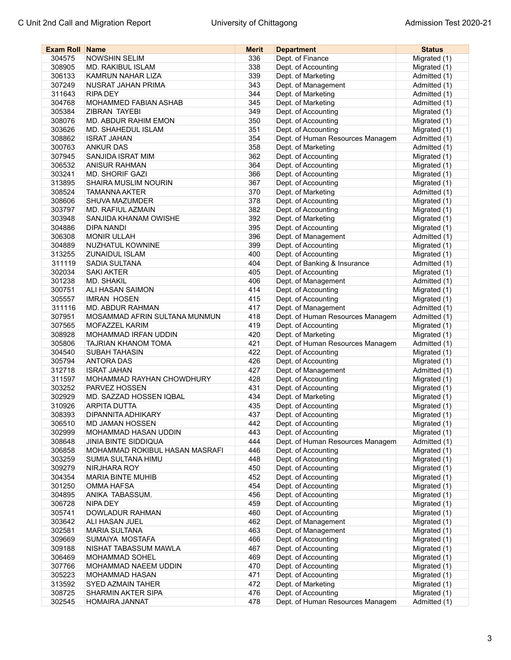| <b>Exam Roll Name</b> |                                | <b>Merit</b> | <b>Department</b>                | <b>Status</b> |
|-----------------------|--------------------------------|--------------|----------------------------------|---------------|
| 304575                | <b>NOWSHIN SELIM</b>           | 336          | Dept. of Finance                 | Migrated (1)  |
| 308905                | <b>MD. RAKIBUL ISLAM</b>       | 338          | Dept. of Accounting              | Migrated (1)  |
| 306133                | KAMRUN NAHAR LIZA              | 339          | Dept. of Marketing               | Admitted (1)  |
| 307249                | NUSRAT JAHAN PRIMA             | 343          | Dept. of Management              | Admitted (1)  |
| 311643                | <b>RIPA DEY</b>                | 344          | Dept. of Marketing               | Admitted (1)  |
| 304768                | MOHAMMED FABIAN ASHAB          | 345          | Dept. of Marketing               | Admitted (1)  |
| 305384                | <b>ZIBRAN TAYEBI</b>           | 349          | Dept. of Accounting              | Migrated (1)  |
| 308076                | MD. ABDUR RAHIM EMON           | 350          | Dept. of Accounting              | Migrated (1)  |
| 303626                | MD. SHAHEDUL ISLAM             | 351          | Dept. of Accounting              | Migrated (1)  |
| 308862                | <b>ISRAT JAHAN</b>             | 354          | Dept. of Human Resources Managem | Admitted (1)  |
| 300763                | <b>ANKUR DAS</b>               | 358          | Dept. of Marketing               | Admitted (1)  |
| 307945                | SANJIDA ISRAT MIM              | 362          | Dept. of Accounting              | Migrated (1)  |
| 306532                | <b>ANISUR RAHMAN</b>           | 364          | Dept. of Accounting              | Migrated (1)  |
| 303241                | <b>MD. SHORIF GAZI</b>         | 366          | Dept. of Accounting              | Migrated (1)  |
| 313895                | SHAIRA MUSLIM NOURIN           | 367          | Dept. of Accounting              | Migrated (1)  |
| 308524                | <b>TAMANNA AKTER</b>           | 370          | Dept. of Marketing               | Admitted (1)  |
| 308606                | SHUVA MAZUMDER                 | 378          | Dept. of Accounting              | Migrated (1)  |
| 303797                | MD. RAFIUL AZMAIN              | 382          | Dept. of Accounting              | Migrated (1)  |
| 303948                | SANJIDA KHANAM OWISHE          | 392          | Dept. of Marketing               | Migrated (1)  |
| 304886                | <b>DIPA NANDI</b>              | 395          | Dept. of Accounting              | Migrated (1)  |
| 306308                | <b>MONIR ULLAH</b>             | 396          | Dept. of Management              | Admitted (1)  |
| 304889                | <b>NUZHATUL KOWNINE</b>        | 399          | Dept. of Accounting              | Migrated (1)  |
| 313255                | <b>ZUNAIDUL ISLAM</b>          | 400          | Dept. of Accounting              | Migrated (1)  |
| 311119                | SADIA SULTANA                  | 404          | Dept. of Banking & Insurance     | Admitted (1)  |
| 302034                | <b>SAKI AKTER</b>              | 405          | Dept. of Accounting              | Migrated (1)  |
| 301238                | <b>MD. SHAKIL</b>              | 406          | Dept. of Management              | Admitted (1)  |
| 300751                | ALI HASAN SAIMON               | 414          | Dept. of Accounting              | Migrated (1)  |
| 305557                | <b>IMRAN HOSEN</b>             | 415          | Dept. of Accounting              | Migrated (1)  |
| 311116                | MD. ABDUR RAHMAN               | 417          | Dept. of Management              | Admitted (1)  |
| 307951                | MOSAMMAD AFRIN SULTANA MUNMUN  | 418          | Dept. of Human Resources Managem | Admitted (1)  |
| 307565                | MOFAZZEL KARIM                 | 419          | Dept. of Accounting              | Migrated (1)  |
| 308928                | MOHAMMAD IRFAN UDDIN           | 420          | Dept. of Marketing               | Migrated (1)  |
| 305806                | TAJRIAN KHANOM TOMA            | 421          | Dept. of Human Resources Managem | Admitted (1)  |
| 304540                | <b>SUBAH TAHASIN</b>           | 422          | Dept. of Accounting              | Migrated (1)  |
| 305794                | <b>ANTORA DAS</b>              | 426          | Dept. of Accounting              | Migrated (1)  |
| 312718                | <b>ISRAT JAHAN</b>             | 427          | Dept. of Management              | Admitted (1)  |
| 311597                | MOHAMMAD RAYHAN CHOWDHURY      | 428          | Dept. of Accounting              | Migrated (1)  |
| 303252                | PARVEZ HOSSEN                  | 431          | Dept. of Accounting              | Migrated (1)  |
| 302929                | MD. SAZZAD HOSSEN IQBAL        | 434          | Dept. of Marketing               | Migrated (1)  |
| 310926                | <b>ARPITA DUTTA</b>            | 435          | Dept. of Accounting              | Migrated (1)  |
| 308393                | DIPANNITA ADHIKARY             | 437          | Dept. of Accounting              | Migrated (1)  |
| 306510                | MD JAMAN HOSSEN                | 442          | Dept. of Accounting              | Migrated (1)  |
| 302999                | MOHAMMAD HASAN UDDIN           | 443          | Dept. of Accounting              | Migrated (1)  |
| 308648                | <b>JINIA BINTE SIDDIQUA</b>    | 444          | Dept. of Human Resources Managem | Admitted (1)  |
| 306858                | MOHAMMAD ROKIBUL HASAN MASRAFI | 446          | Dept. of Accounting              | Migrated (1)  |
| 303259                | SUMIA SULTANA HIMU             | 448          | Dept. of Accounting              | Migrated (1)  |
| 309279                | NIRJHARA ROY                   | 450          | Dept. of Accounting              | Migrated (1)  |
| 304354                | <b>MARIA BINTE MUHIB</b>       | 452          | Dept. of Accounting              | Migrated (1)  |
| 301250                | OMMA HAFSA                     | 454          | Dept. of Accounting              | Migrated (1)  |
| 304895                | ANIKA TABASSUM.                | 456          | Dept. of Accounting              | Migrated (1)  |
| 306728                | NIPA DEY                       | 459          | Dept. of Accounting              | Migrated (1)  |
| 305741                | DOWLADUR RAHMAN                | 460          | Dept. of Accounting              | Migrated (1)  |
| 303642                | ALI HASAN JUEL                 | 462          | Dept. of Management              | Migrated (1)  |
| 302581                | <b>MARIA SULTANA</b>           | 463          | Dept. of Management              | Migrated (1)  |
| 309669                | SUMAIYA MOSTAFA                | 466          | Dept. of Accounting              |               |
|                       |                                | 467          |                                  | Migrated (1)  |
| 309188                | NISHAT TABASSUM MAWLA          | 469          | Dept. of Accounting              | Migrated (1)  |
| 306469                | MOHAMMAD SOHEL                 |              | Dept. of Accounting              | Migrated (1)  |
| 307766                | MOHAMMAD NAEEM UDDIN           | 470          | Dept. of Accounting              | Migrated (1)  |
| 305223                | MOHAMMAD HASAN                 | 471          | Dept. of Accounting              | Migrated (1)  |
| 313592                | SYED AZMAIN TAHER              | 472          | Dept. of Marketing               | Migrated (1)  |
| 308725                | SHARMIN AKTER SIPA             | 476          | Dept. of Accounting              | Migrated (1)  |
| 302545                | HOMAIRA JANNAT                 | 478          | Dept. of Human Resources Managem | Admitted (1)  |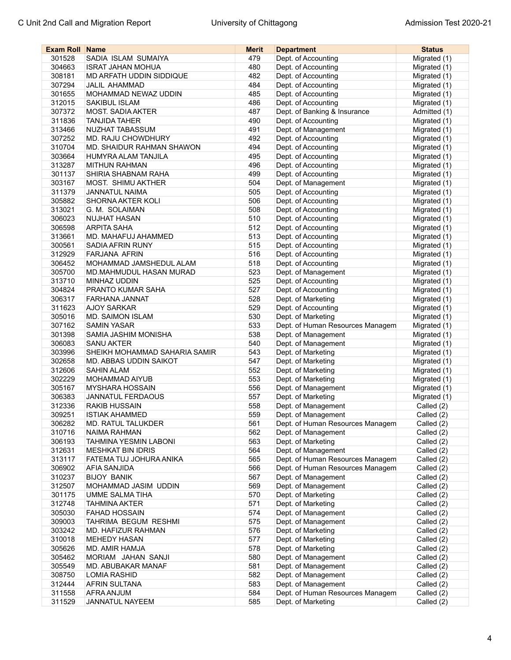| <b>Exam Roll Name</b> |                               | Merit      | <b>Department</b>                | <b>Status</b>                |
|-----------------------|-------------------------------|------------|----------------------------------|------------------------------|
| 301528                | SADIA ISLAM SUMAIYA           | 479        | Dept. of Accounting              | Migrated (1)                 |
| 304663                | <b>ISRAT JAHAN MOHUA</b>      | 480        | Dept. of Accounting              | Migrated (1)                 |
| 308181                | MD ARFATH UDDIN SIDDIQUE      | 482        | Dept. of Accounting              | Migrated (1)                 |
| 307294                | <b>JALIL AHAMMAD</b>          | 484        | Dept. of Accounting              | Migrated (1)                 |
| 301655                | MOHAMMAD NEWAZ UDDIN          | 485        | Dept. of Accounting              | Migrated (1)                 |
| 312015                | SAKIBUL ISLAM                 | 486        | Dept. of Accounting              | Migrated (1)                 |
| 307372                | <b>MOST. SADIA AKTER</b>      | 487        | Dept. of Banking & Insurance     | Admitted (1)                 |
| 311836                | <b>TANJIDA TAHER</b>          | 490        | Dept. of Accounting              | Migrated (1)                 |
| 313466                | NUZHAT TABASSUM               | 491        | Dept. of Management              | Migrated (1)                 |
| 307252                | MD. RAJU CHOWDHURY            | 492        | Dept. of Accounting              | Migrated (1)                 |
| 310704                | MD. SHAIDUR RAHMAN SHAWON     | 494        | Dept. of Accounting              | Migrated (1)                 |
| 303664                | HUMYRA ALAM TANJILA           | 495        | Dept. of Accounting              | Migrated (1)                 |
| 313287                | <b>MITHUN RAHMAN</b>          | 496        | Dept. of Accounting              | Migrated (1)                 |
| 301137                | SHIRIA SHABNAM RAHA           | 499        | Dept. of Accounting              | Migrated (1)                 |
| 303167                | MOST. SHIMU AKTHER            | 504        | Dept. of Management              | Migrated (1)                 |
| 311379                | <b>JANNATUL NAIMA</b>         | 505        | Dept. of Accounting              | Migrated (1)                 |
| 305882                | SHORNA AKTER KOLI             | 506        | Dept. of Accounting              | Migrated (1)                 |
|                       | G. M. SOLAIMAN                |            |                                  |                              |
| 313021                |                               | 508<br>510 | Dept. of Accounting              | Migrated (1)<br>Migrated (1) |
| 306023                | NUJHAT HASAN                  |            | Dept. of Accounting              |                              |
| 306598                | <b>ARPITA SAHA</b>            | 512        | Dept. of Accounting              | Migrated (1)                 |
| 313661                | MD. MAHAFUJ AHAMMED           | 513        | Dept. of Accounting              | Migrated (1)                 |
| 300561                | SADIA AFRIN RUNY              | 515        | Dept. of Accounting              | Migrated (1)                 |
| 312929                | FARJANA AFRIN                 | 516        | Dept. of Accounting              | Migrated (1)                 |
| 306452                | MOHAMMAD JAMSHEDUL ALAM       | 518        | Dept. of Accounting              | Migrated (1)                 |
| 305700                | MD.MAHMUDUL HASAN MURAD       | 523        | Dept. of Management              | Migrated (1)                 |
| 313710                | MINHAZ UDDIN                  | 525        | Dept. of Accounting              | Migrated (1)                 |
| 304824                | PRANTO KUMAR SAHA             | 527        | Dept. of Accounting              | Migrated (1)                 |
| 306317                | FARHANA JANNAT                | 528        | Dept. of Marketing               | Migrated (1)                 |
| 311623                | <b>AJOY SARKAR</b>            | 529        | Dept. of Accounting              | Migrated (1)                 |
| 305016                | <b>MD. SAIMON ISLAM</b>       | 530        | Dept. of Marketing               | Migrated (1)                 |
| 307162                | <b>SAMIN YASAR</b>            | 533        | Dept. of Human Resources Managem | Migrated (1)                 |
| 301398                | SAMIA JASHIM MONISHA          | 538        | Dept. of Management              | Migrated (1)                 |
| 306083                | <b>SANU AKTER</b>             | 540        | Dept. of Management              | Migrated (1)                 |
| 303996                | SHEIKH MOHAMMAD SAHARIA SAMIR | 543        | Dept. of Marketing               | Migrated (1)                 |
| 302658                | MD. ABBAS UDDIN SAIKOT        | 547        | Dept. of Marketing               | Migrated (1)                 |
| 312606                | <b>SAHIN ALAM</b>             | 552        | Dept. of Marketing               | Migrated (1)                 |
| 302229                | MOHAMMAD AIYUB                | 553        | Dept. of Marketing               | Migrated (1)                 |
| 305167                | <b>MYSHARA HOSSAIN</b>        | 556        | Dept. of Management              | Migrated (1)                 |
| 306383                | JANNATUL FERDAOUS             | 557        | Dept. of Marketing               | Migrated (1)                 |
| 312336                | <b>RAKIB HUSSAIN</b>          | 558        | Dept. of Management              | Called (2)                   |
| 309251                | <b>ISTIAK AHAMMED</b>         | 559        | Dept. of Management              | Called (2)                   |
| 306282                | MD. RATUL TALUKDER            | 561        | Dept. of Human Resources Managem | Called (2)                   |
| 310716                | <b>NAIMA RAHMAN</b>           | 562        | Dept. of Management              | Called (2)                   |
| 306193                | TAHMINA YESMIN LABONI         | 563        | Dept. of Marketing               | Called (2)                   |
| 312631                | <b>MESHKAT BIN IDRIS</b>      | 564        | Dept. of Management              | Called (2)                   |
| 313117                | FATEMA TUJ JOHURA ANIKA       | 565        | Dept. of Human Resources Managem | Called (2)                   |
| 306902                | AFIA SANJIDA                  | 566        | Dept. of Human Resources Managem | Called (2)                   |
| 310237                | <b>BIJOY BANIK</b>            | 567        | Dept. of Management              | Called (2)                   |
| 312507                | MOHAMMAD JASIM UDDIN          | 569        | Dept. of Management              | Called (2)                   |
| 301175                | UMME SALMA TIHA               | 570        | Dept. of Marketing               | Called (2)                   |
| 312748                | <b>TAHMINA AKTER</b>          | 571        | Dept. of Marketing               | Called (2)                   |
| 305030                | <b>FAHAD HOSSAIN</b>          | 574        | Dept. of Management              | Called (2)                   |
| 309003                | TAHRIMA BEGUM RESHMI          | 575        | Dept. of Management              | Called (2)                   |
| 303242                | MD. HAFIZUR RAHMAN            | 576        | Dept. of Marketing               | Called (2)                   |
| 310018                | <b>MEHEDY HASAN</b>           | 577        | Dept. of Marketing               | Called (2)                   |
| 305626                | MD. AMIR HAMJA                | 578        | Dept. of Marketing               | Called (2)                   |
| 305462                | MORIAM JAHAN SANJI            | 580        | Dept. of Management              | Called (2)                   |
| 305549                | MD. ABUBAKAR MANAF            | 581        | Dept. of Management              | Called (2)                   |
|                       |                               |            |                                  |                              |
| 308750                | <b>LOMIA RASHID</b>           | 582        | Dept. of Management              | Called (2)                   |
| 312444                | AFRIN SULTANA                 | 583        | Dept. of Management              | Called (2)                   |
| 311558                | AFRA ANJUM                    | 584        | Dept. of Human Resources Managem | Called (2)                   |
| 311529                | JANNATUL NAYEEM               | 585        | Dept. of Marketing               | Called (2)                   |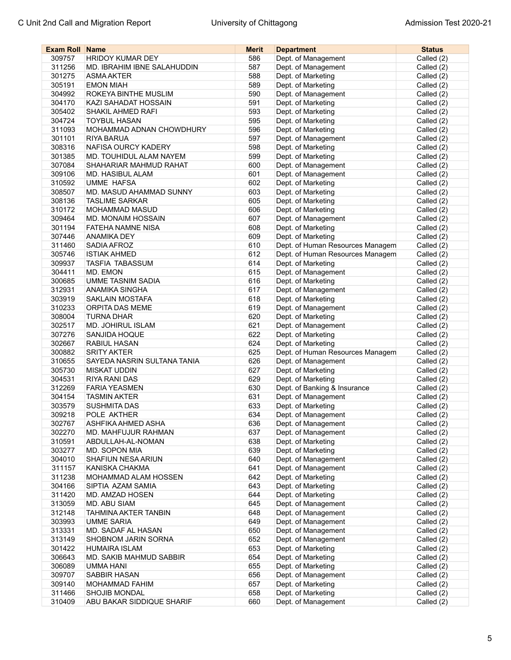| <b>Exam Roll Name</b> |                             | <b>Merit</b> | <b>Department</b>                | <b>Status</b> |
|-----------------------|-----------------------------|--------------|----------------------------------|---------------|
| 309757                | <b>HRIDOY KUMAR DEY</b>     | 586          | Dept. of Management              | Called (2)    |
| 311256                | MD. IBRAHIM IBNE SALAHUDDIN | 587          | Dept. of Management              | Called (2)    |
| 301275                | <b>ASMA AKTER</b>           | 588          | Dept. of Marketing               | Called (2)    |
| 305191                | <b>EMON MIAH</b>            | 589          | Dept. of Marketing               | Called (2)    |
| 304992                | ROKEYA BINTHE MUSLIM        | 590          | Dept. of Management              | Called (2)    |
| 304170                | KAZI SAHADAT HOSSAIN        | 591          | Dept. of Marketing               | Called (2)    |
| 305402                | SHAKIL AHMED RAFI           | 593          | Dept. of Marketing               | Called (2)    |
| 304724                | <b>TOYBUL HASAN</b>         | 595          | Dept. of Marketing               | Called (2)    |
| 311093                | MOHAMMAD ADNAN CHOWDHURY    | 596          | Dept. of Marketing               | Called (2)    |
| 301101                | <b>RIYA BARUA</b>           | 597          | Dept. of Management              | Called (2)    |
| 308316                | NAFISA OURCY KADERY         | 598          | Dept. of Marketing               | Called (2)    |
| 301385                | MD. TOUHIDUL ALAM NAYEM     | 599          | Dept. of Marketing               | Called (2)    |
| 307084                | SHAHARIAR MAHMUD RAHAT      | 600          | Dept. of Management              | Called (2)    |
| 309106                | MD. HASIBUL ALAM            | 601          | Dept. of Management              | Called (2)    |
| 310592                | <b>UMME HAFSA</b>           | 602          | Dept. of Marketing               | Called (2)    |
| 308507                | MD. MASUD AHAMMAD SUNNY     | 603          | Dept. of Marketing               | Called (2)    |
| 308136                | <b>TASLIME SARKAR</b>       | 605          | Dept. of Marketing               | Called (2)    |
| 310172                | <b>MOHAMMAD MASUD</b>       | 606          | Dept. of Marketing               |               |
|                       | MD. MONAIM HOSSAIN          | 607          | Dept. of Management              | Called (2)    |
| 309464                |                             |              |                                  | Called (2)    |
| 301194                | <b>FATEHA NAMNE NISA</b>    | 608          | Dept. of Marketing               | Called (2)    |
| 307446                | <b>ANAMIKA DEY</b>          | 609          | Dept. of Marketing               | Called (2)    |
| 311460                | SADIA AFROZ                 | 610          | Dept. of Human Resources Managem | Called (2)    |
| 305746                | <b>ISTIAK AHMED</b>         | 612          | Dept. of Human Resources Managem | Called (2)    |
| 309937                | <b>TASFIA TABASSUM</b>      | 614          | Dept. of Marketing               | Called (2)    |
| 304411                | MD. EMON                    | 615          | Dept. of Management              | Called (2)    |
| 300685                | UMME TASNIM SADIA           | 616          | Dept. of Marketing               | Called (2)    |
| 312931                | <b>ANAMIKA SINGHA</b>       | 617          | Dept. of Management              | Called (2)    |
| 303919                | <b>SAKLAIN MOSTAFA</b>      | 618          | Dept. of Marketing               | Called (2)    |
| 310233                | ORPITA DAS MEME             | 619          | Dept. of Management              | Called (2)    |
| 308004                | <b>TURNA DHAR</b>           | 620          | Dept. of Marketing               | Called (2)    |
| 302517                | <b>MD. JOHIRUL ISLAM</b>    | 621          | Dept. of Management              | Called (2)    |
| 307276                | SANJIDA HOQUE               | 622          | Dept. of Marketing               | Called (2)    |
| 302667                | <b>RABIUL HASAN</b>         | 624          | Dept. of Marketing               | Called (2)    |
| 300882                | <b>SRITY AKTER</b>          | 625          | Dept. of Human Resources Managem | Called (2)    |
| 310655                | SAYEDA NASRIN SULTANA TANIA | 626          | Dept. of Management              | Called (2)    |
| 305730                | <b>MISKAT UDDIN</b>         | 627          | Dept. of Marketing               | Called (2)    |
| 304531                | RIYA RANI DAS               | 629          | Dept. of Marketing               | Called (2)    |
| 312269                | <b>FARIA YEASMEN</b>        | 630          | Dept. of Banking & Insurance     | Called (2)    |
| 304154                | <b>TASMIN AKTER</b>         | 631          | Dept. of Management              | Called (2)    |
| 303579                | <b>SUSHMITA DAS</b>         | 633          | Dept. of Marketing               | Called (2)    |
| 309218                | POLE AKTHER                 | 634          | Dept. of Management              | Called (2)    |
| 302767                | ASHFIKA AHMED ASHA          | 636          | Dept. of Management              | Called (2)    |
| 302270                | MD. MAHFUJUR RAHMAN         | 637          | Dept. of Management              | Called (2)    |
| 310591                | ABDULLAH-AL-NOMAN           | 638          | Dept. of Marketing               | Called (2)    |
| 303277                | MD. SOPON MIA               | 639          | Dept. of Marketing               | Called (2)    |
| 304010                | SHAFIUN NESA ARIUN          | 640          | Dept. of Management              | Called (2)    |
| 311157                | KANISKA CHAKMA              | 641          | Dept. of Management              | Called (2)    |
| 311238                | MOHAMMAD ALAM HOSSEN        | 642          | Dept. of Marketing               | Called (2)    |
| 304166                | SIPTIA AZAM SAMIA           | 643          | Dept. of Marketing               | Called (2)    |
| 311420                | MD. AMZAD HOSEN             | 644          | Dept. of Marketing               | Called (2)    |
| 313059                | MD. ABU SIAM                | 645          | Dept. of Management              | Called (2)    |
| 312148                | TAHMINA AKTER TANBIN        | 648          | Dept. of Management              | Called (2)    |
| 303993                | <b>UMME SARIA</b>           | 649          | Dept. of Management              | Called (2)    |
| 313331                | MD. SADAF AL HASAN          | 650          | Dept. of Management              | Called (2)    |
| 313149                | SHOBNOM JARIN SORNA         | 652          | Dept. of Management              | Called (2)    |
| 301422                | <b>HUMAIRA ISLAM</b>        | 653          | Dept. of Marketing               | Called (2)    |
| 306643                | MD. SAKIB MAHMUD SABBIR     | 654          | Dept. of Marketing               | Called (2)    |
| 306089                | UMMA HANI                   | 655          | Dept. of Marketing               | Called (2)    |
| 309707                | SABBIR HASAN                | 656          | Dept. of Management              | Called (2)    |
| 309140                | MOHAMMAD FAHIM              | 657          | Dept. of Marketing               | Called (2)    |
| 311466                | <b>SHOJIB MONDAL</b>        | 658          | Dept. of Marketing               | Called (2)    |
| 310409                | ABU BAKAR SIDDIQUE SHARIF   | 660          | Dept. of Management              | Called (2)    |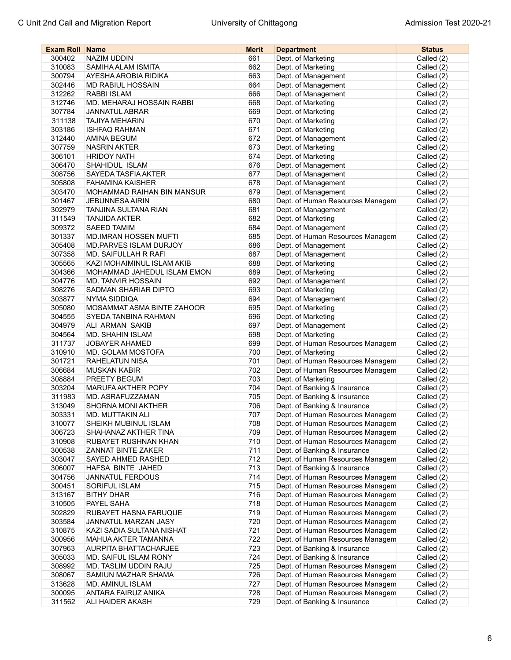| <b>Exam Roll Name</b> |                                   | <b>Merit</b> | <b>Department</b>                | <b>Status</b> |
|-----------------------|-----------------------------------|--------------|----------------------------------|---------------|
| 300402                | <b>NAZIM UDDIN</b>                | 661          | Dept. of Marketing               | Called (2)    |
| 310083                | SAMIHA ALAM ISMITA                | 662          | Dept. of Marketing               | Called (2)    |
| 300794                | AYESHA AROBIA RIDIKA              | 663          | Dept. of Management              | Called (2)    |
| 302446                | MD RABIUL HOSSAIN                 | 664          | Dept. of Management              | Called (2)    |
| 312262                | RABBI ISLAM                       | 666          | Dept. of Management              | Called (2)    |
| 312746                | MD. MEHARAJ HOSSAIN RABBI         | 668          | Dept. of Marketing               | Called (2)    |
| 307784                | <b>JANNATUL ABRAR</b>             | 669          | Dept. of Marketing               | Called (2)    |
| 311138                | <b>TAJIYA MEHARIN</b>             | 670          | Dept. of Marketing               | Called (2)    |
| 303186                | <b>ISHFAQ RAHMAN</b>              | 671          | Dept. of Marketing               | Called (2)    |
| 312440                | <b>AMINA BEGUM</b>                | 672          | Dept. of Management              | Called (2)    |
| 307759                | <b>NASRIN AKTER</b>               | 673          | Dept. of Marketing               | Called (2)    |
| 306101                | <b>HRIDOY NATH</b>                | 674          | Dept. of Marketing               | Called (2)    |
| 306470                | SHAHIDUL ISLAM                    | 676          | Dept. of Management              |               |
|                       |                                   |              |                                  | Called (2)    |
| 308756                | SAYEDA TASFIA AKTER               | 677          | Dept. of Management              | Called (2)    |
| 305808                | <b>FAHAMINA KAISHER</b>           | 678          | Dept. of Management              | Called (2)    |
| 303470                | <b>MOHAMMAD RAIHAN BIN MANSUR</b> | 679          | Dept. of Management              | Called (2)    |
| 301467                | <b>JEBUNNESA AIRIN</b>            | 680          | Dept. of Human Resources Managem | Called (2)    |
| 302979                | <b>TANJINA SULTANA RIAN</b>       | 681          | Dept. of Management              | Called (2)    |
| 311549                | <b>TANJIDA AKTER</b>              | 682          | Dept. of Marketing               | Called (2)    |
| 309372                | <b>SAEED TAMIM</b>                | 684          | Dept. of Management              | Called (2)    |
| 301337                | <b>MD.IMRAN HOSSEN MUFTI</b>      | 685          | Dept. of Human Resources Managem | Called (2)    |
| 305408                | MD.PARVES ISLAM DURJOY            | 686          | Dept. of Management              | Called (2)    |
| 307358                | MD. SAIFULLAH R RAFI              | 687          | Dept. of Management              | Called (2)    |
| 305565                | KAZI MOHAIMINUL ISLAM AKIB        | 688          | Dept. of Marketing               | Called (2)    |
| 304366                | MOHAMMAD JAHEDUL ISLAM EMON       | 689          | Dept. of Marketing               | Called (2)    |
| 304776                | <b>MD. TANVIR HOSSAIN</b>         | 692          | Dept. of Management              | Called (2)    |
| 308276                | SADMAN SHARIAR DIPTO              | 693          | Dept. of Marketing               | Called (2)    |
| 303877                | <b>NYMA SIDDIQA</b>               | 694          | Dept. of Management              | Called (2)    |
| 305080                | MOSAMMAT ASMA BINTE ZAHOOR        | 695          | Dept. of Marketing               | Called (2)    |
| 304555                | SYEDA TANBINA RAHMAN              | 696          | Dept. of Marketing               | Called (2)    |
| 304979                | ALI ARMAN SAKIB                   | 697          | Dept. of Management              | Called (2)    |
| 304564                | <b>MD. SHAHIN ISLAM</b>           | 698          | Dept. of Marketing               | Called (2)    |
| 311737                | <b>JOBAYER AHAMED</b>             | 699          | Dept. of Human Resources Managem | Called (2)    |
| 310910                | MD. GOLAM MOSTOFA                 | 700          | Dept. of Marketing               | Called (2)    |
| 301721                | RAHELATUN NISA                    | 701          | Dept. of Human Resources Managem | Called (2)    |
| 306684                | <b>MUSKAN KABIR</b>               | 702          | Dept. of Human Resources Managem | Called (2)    |
| 308884                | PREETY BEGUM                      | 703          | Dept. of Marketing               | Called (2)    |
| 303204                | <b>MARUFA AKTHER POPY</b>         | 704          | Dept. of Banking & Insurance     | Called (2)    |
| 311983                | MD. ASRAFUZZAMAN                  | 705          | Dept. of Banking & Insurance     | Called (2)    |
| 313049                | <b>SHORNA MONI AKTHER</b>         | 706          | Dept. of Banking & Insurance     | Called (2)    |
| 303331                | MD. MUTTAKIN ALI                  | 707          | Dept. of Human Resources Managem |               |
|                       | SHEIKH MUBINUL ISLAM              |              |                                  | Called (2)    |
| 310077                |                                   | 708<br>709   | Dept. of Human Resources Managem | Called (2)    |
| 306723<br>310908      | SHAHANAZ AKTHER TINA              |              | Dept. of Human Resources Managem | Called (2)    |
|                       | RUBAYET RUSHNAN KHAN              | 710          | Dept. of Human Resources Managem | Called (2)    |
| 300538                | <b>ZANNAT BINTE ZAKER</b>         | 711          | Dept. of Banking & Insurance     | Called (2)    |
| 303047                | SAYED AHMED RASHED                | 712          | Dept. of Human Resources Managem | Called (2)    |
| 306007                | HAFSA BINTE JAHED                 | 713          | Dept. of Banking & Insurance     | Called (2)    |
| 304756                | <b>JANNATUL FERDOUS</b>           | 714          | Dept. of Human Resources Managem | Called (2)    |
| 300451                | <b>SORIFUL ISLAM</b>              | 715          | Dept. of Human Resources Managem | Called (2)    |
| 313167                | <b>BITHY DHAR</b>                 | 716          | Dept. of Human Resources Managem | Called (2)    |
| 310505                | PAYEL SAHA                        | 718          | Dept. of Human Resources Managem | Called (2)    |
| 302829                | RUBAYET HASNA FARUQUE             | 719          | Dept. of Human Resources Managem | Called (2)    |
| 303584                | JANNATUL MARZAN JASY              | 720          | Dept. of Human Resources Managem | Called (2)    |
| 310875                | KAZI SADIA SULTANA NISHAT         | 721          | Dept. of Human Resources Managem | Called (2)    |
| 300956                | MAHUA AKTER TAMANNA               | 722          | Dept. of Human Resources Managem | Called (2)    |
| 307963                | <b>AURPITA BHATTACHARJEE</b>      | 723          | Dept. of Banking & Insurance     | Called (2)    |
| 305033                | MD. SAIFUL ISLAM RONY             | 724          | Dept. of Banking & Insurance     | Called (2)    |
| 308992                | MD. TASLIM UDDIN RAJU             | 725          | Dept. of Human Resources Managem | Called (2)    |
| 308067                | SAMIUN MAZHAR SHAMA               | 726          | Dept. of Human Resources Managem | Called (2)    |
| 313628                | MD. AMINUL ISLAM                  | 727          | Dept. of Human Resources Managem | Called (2)    |
| 300095                | ANTARA FAIRUZ ANIKA               | 728          | Dept. of Human Resources Managem | Called (2)    |
| 311562                | ALI HAIDER AKASH                  | 729          | Dept. of Banking & Insurance     | Called (2)    |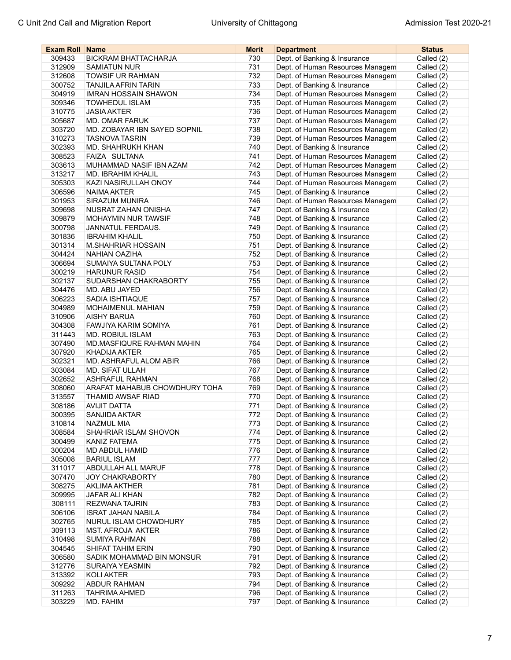| <b>Exam Roll Name</b> |                               | Merit | <b>Department</b>                | <b>Status</b> |
|-----------------------|-------------------------------|-------|----------------------------------|---------------|
| 309433                | <b>BICKRAM BHATTACHARJA</b>   | 730   | Dept. of Banking & Insurance     | Called (2)    |
| 312909                | <b>SAMIATUN NUR</b>           | 731   | Dept. of Human Resources Managem | Called (2)    |
| 312608                | <b>TOWSIF UR RAHMAN</b>       | 732   | Dept. of Human Resources Managem | Called (2)    |
| 300752                | <b>TANJILA AFRIN TARIN</b>    | 733   | Dept. of Banking & Insurance     | Called (2)    |
| 304919                | <b>IMRAN HOSSAIN SHAWON</b>   | 734   | Dept. of Human Resources Managem | Called (2)    |
| 309346                | <b>TOWHEDUL ISLAM</b>         | 735   | Dept. of Human Resources Managem | Called (2)    |
| 310775                | <b>JASIA AKTER</b>            | 736   | Dept. of Human Resources Managem | Called (2)    |
| 305687                | <b>MD. OMAR FARUK</b>         | 737   | Dept. of Human Resources Managem | Called (2)    |
| 303720                | MD. ZOBAYAR IBN SAYED SOPNIL  | 738   | Dept. of Human Resources Managem | Called (2)    |
| 310273                | <b>TASNOVA TASRIN</b>         | 739   | Dept. of Human Resources Managem | Called (2)    |
| 302393                | MD. SHAHRUKH KHAN             | 740   | Dept. of Banking & Insurance     | Called (2)    |
| 308523                | FAIZA SULTANA                 | 741   | Dept. of Human Resources Managem | Called (2)    |
| 303613                | MUHAMMAD NASIF IBN AZAM       | 742   | Dept. of Human Resources Managem | Called (2)    |
| 313217                | MD. IBRAHIM KHALIL            | 743   | Dept. of Human Resources Managem | Called (2)    |
| 305303                | KAZI NASIRULLAH ONOY          | 744   | Dept. of Human Resources Managem | Called (2)    |
| 306596                | NAIMA AKTER                   | 745   | Dept. of Banking & Insurance     | Called (2)    |
| 301953                | <b>SIRAZUM MUNIRA</b>         | 746   | Dept. of Human Resources Managem | Called (2)    |
|                       |                               |       |                                  |               |
| 309698                | NUSRAT ZAHAN ONISHA           | 747   | Dept. of Banking & Insurance     | Called (2)    |
| 309879                | <b>MOHAYMIN NUR TAWSIF</b>    | 748   | Dept. of Banking & Insurance     | Called (2)    |
| 300798                | <b>JANNATUL FERDAUS.</b>      | 749   | Dept. of Banking & Insurance     | Called (2)    |
| 301836                | <b>IBRAHIM KHALIL</b>         | 750   | Dept. of Banking & Insurance     | Called (2)    |
| 301314                | M.SHAHRIAR HOSSAIN            | 751   | Dept. of Banking & Insurance     | Called (2)    |
| 304424                | NAHIAN OAZIHA                 | 752   | Dept. of Banking & Insurance     | Called (2)    |
| 306694                | SUMAIYA SULTANA POLY          | 753   | Dept. of Banking & Insurance     | Called (2)    |
| 300219                | <b>HARUNUR RASID</b>          | 754   | Dept. of Banking & Insurance     | Called (2)    |
| 302137                | SUDARSHAN CHAKRABORTY         | 755   | Dept. of Banking & Insurance     | Called (2)    |
| 304476                | MD. ABU JAYED                 | 756   | Dept. of Banking & Insurance     | Called (2)    |
| 306223                | SADIA ISHTIAQUE               | 757   | Dept. of Banking & Insurance     | Called (2)    |
| 304989                | MOHAIMENUL MAHIAN             | 759   | Dept. of Banking & Insurance     | Called (2)    |
| 310906                | <b>AISHY BARUA</b>            | 760   | Dept. of Banking & Insurance     | Called (2)    |
| 304308                | FAWJIYA KARIM SOMIYA          | 761   | Dept. of Banking & Insurance     | Called (2)    |
| 311443                | MD. ROBIUL ISLAM              | 763   | Dept. of Banking & Insurance     | Called (2)    |
| 307490                | MD.MASFIQURE RAHMAN MAHIN     | 764   | Dept. of Banking & Insurance     | Called (2)    |
| 307920                | <b>KHADIJA AKTER</b>          | 765   | Dept. of Banking & Insurance     | Called (2)    |
| 302321                | MD. ASHRAFUL ALOM ABIR        | 766   | Dept. of Banking & Insurance     | Called (2)    |
| 303084                | MD. SIFAT ULLAH               | 767   | Dept. of Banking & Insurance     | Called (2)    |
| 302652                | <b>ASHRAFUL RAHMAN</b>        | 768   | Dept. of Banking & Insurance     | Called (2)    |
| 308060                | ARAFAT MAHABUB CHOWDHURY TOHA | 769   | Dept. of Banking & Insurance     | Called (2)    |
| 313557                | THAMID AWSAF RIAD             | 770   | Dept. of Banking & Insurance     | Called (2)    |
| 308186                | <b>AVIJIT DATTA</b>           | 771   | Dept. of Banking & Insurance     | Called (2)    |
| 300395                | SANJIDA AKTAR                 | 772   | Dept. of Banking & Insurance     | Called (2)    |
| 310814                | NAZMUL MIA                    | 773   | Dept. of Banking & Insurance     | Called (2)    |
| 308584                | SHAHRIAR ISLAM SHOVON         | 774   | Dept. of Banking & Insurance     | Called (2)    |
| 300499                | KANIZ FATEMA                  | 775   | Dept. of Banking & Insurance     | Called (2)    |
| 300204                | MD ABDUL HAMID                | 776   | Dept. of Banking & Insurance     | Called (2)    |
| 305008                | <b>BARIUL ISLAM</b>           | 777   | Dept. of Banking & Insurance     | Called (2)    |
| 311017                | ABDULLAH ALL MARUF            | 778   | Dept. of Banking & Insurance     | Called (2)    |
| 307470                | <b>JOY CHAKRABORTY</b>        | 780   | Dept. of Banking & Insurance     | Called (2)    |
| 308275                | <b>AKLIMA AKTHER</b>          | 781   | Dept. of Banking & Insurance     | Called (2)    |
| 309995                | JAFAR ALI KHAN                | 782   | Dept. of Banking & Insurance     | Called (2)    |
| 308111                | REZWANA TAJRIN                | 783   | Dept. of Banking & Insurance     | Called (2)    |
| 306106                | <b>ISRAT JAHAN NABILA</b>     | 784   | Dept. of Banking & Insurance     | Called (2)    |
| 302765                | NURUL ISLAM CHOWDHURY         | 785   | Dept. of Banking & Insurance     | Called (2)    |
| 309113                | <b>MST. AFROJA AKTER</b>      | 786   | Dept. of Banking & Insurance     | Called (2)    |
| 310498                | SUMIYA RAHMAN                 | 788   | Dept. of Banking & Insurance     | Called (2)    |
| 304545                | SHIFAT TAHIM ERIN             | 790   | Dept. of Banking & Insurance     | Called (2)    |
| 306580                | SADIK MOHAMMAD BIN MONSUR     | 791   | Dept. of Banking & Insurance     | Called (2)    |
| 312776                | SURAIYA YEASMIN               | 792   | Dept. of Banking & Insurance     | Called (2)    |
| 313392                | KOLI AKTER                    | 793   | Dept. of Banking & Insurance     | Called (2)    |
| 309292                | ABDUR RAHMAN                  | 794   | Dept. of Banking & Insurance     | Called (2)    |
| 311263                | TAHRIMA AHMED                 | 796   | Dept. of Banking & Insurance     | Called (2)    |
| 303229                | MD. FAHIM                     | 797   | Dept. of Banking & Insurance     | Called (2)    |
|                       |                               |       |                                  |               |